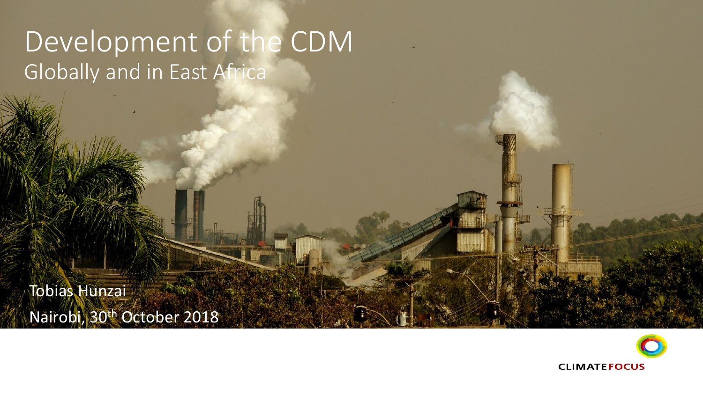# Development of the CDM Globally and in East Africa

Tobias Hunzai Nairobi, 30<sup>th</sup> October 2018

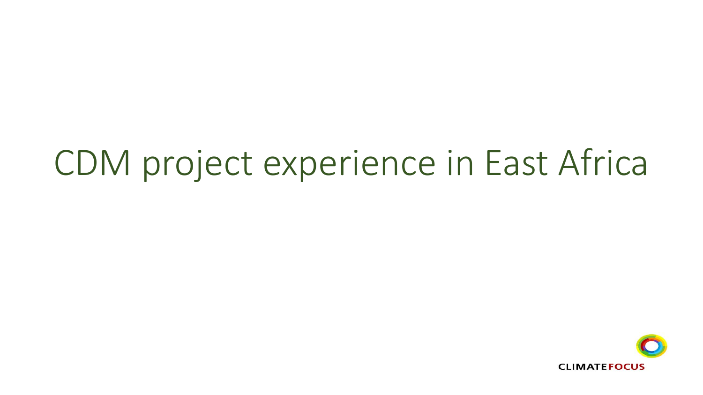# CDM project experience in East Africa

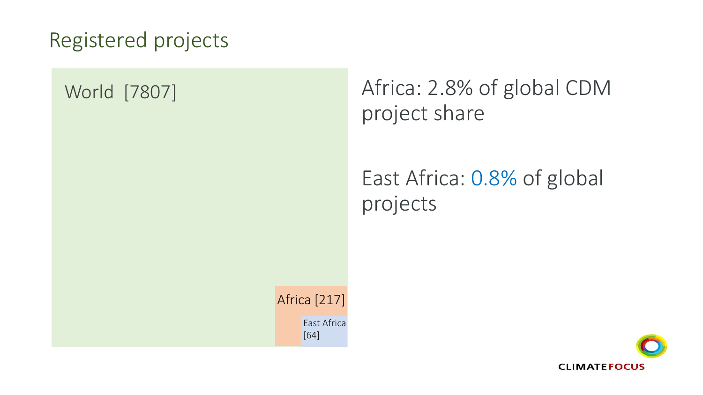### Registered projects

#### World [7807]

# Africa: 2.8% of global CDM project share

# East Africa: 0.8% of global projects

Africa [217] East Africa [64]

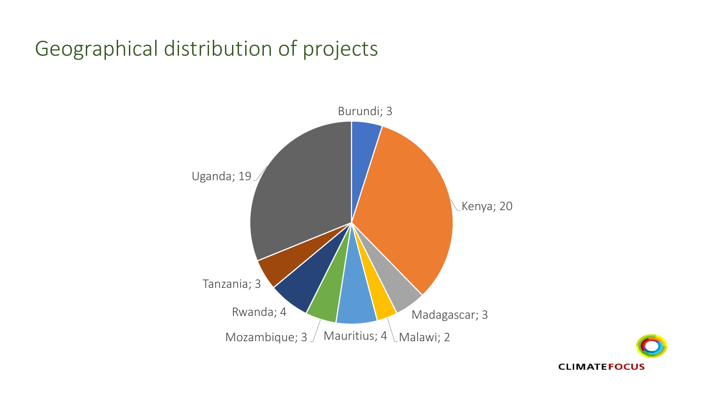# Geographical distribution of projects



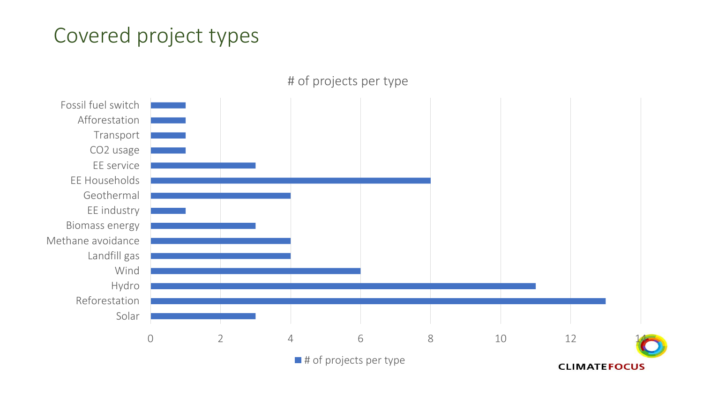### Covered project types



 $\blacksquare$  # of projects per type

**CLIMATEFOCUS**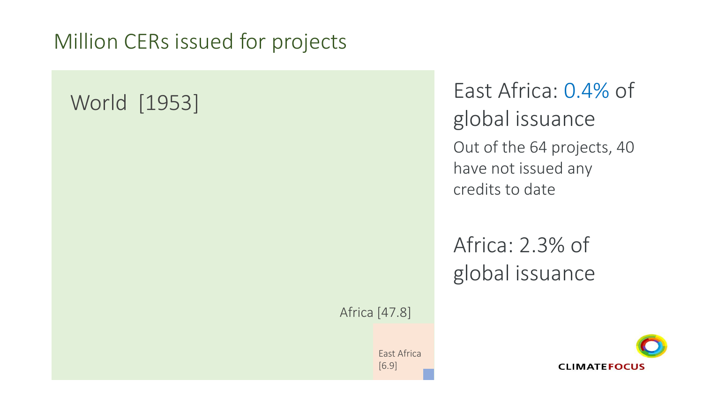### Million CERs issued for projects

# World [1953]

East Africa: 0.4% of global issuance Out of the 64 projects, 40 have not issued any credits to date

Africa: 2.3% of global issuance

Africa [47.8]

East Africa [6.9]

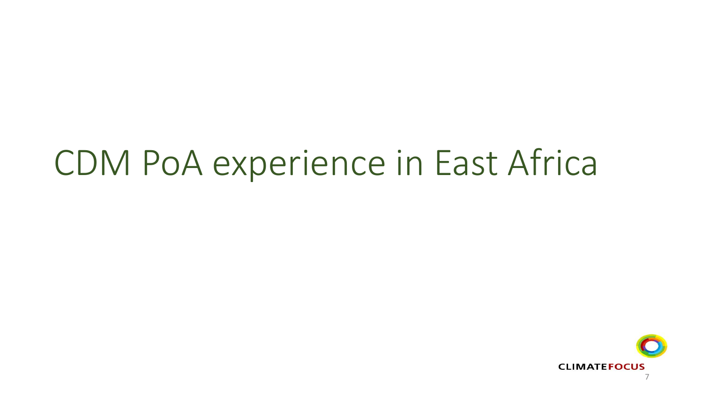# CDM PoA experience in East Africa

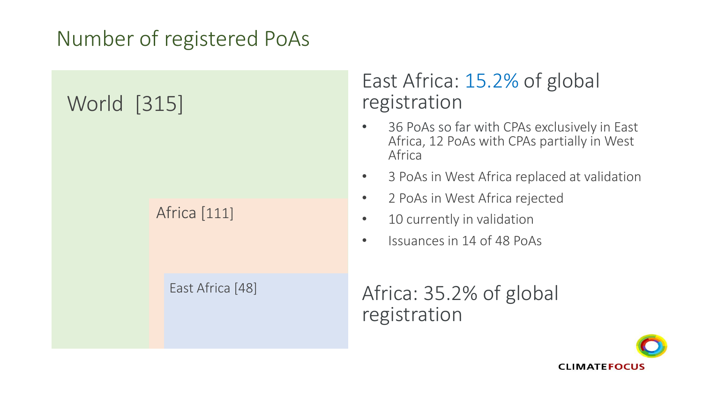## Number of registered PoAs

# World [315]

#### Africa [111]

#### East Africa [48]

#### East Africa: 15.2% of global registration

- 36 PoAs so far with CPAs exclusively in East Africa, 12 PoAs with CPAs partially in West Africa
- 3 PoAs in West Africa replaced at validation
- 2 PoAs in West Africa rejected
- 10 currently in validation
- Issuances in 14 of 48 PoAs

#### Africa: 35.2% of global registration

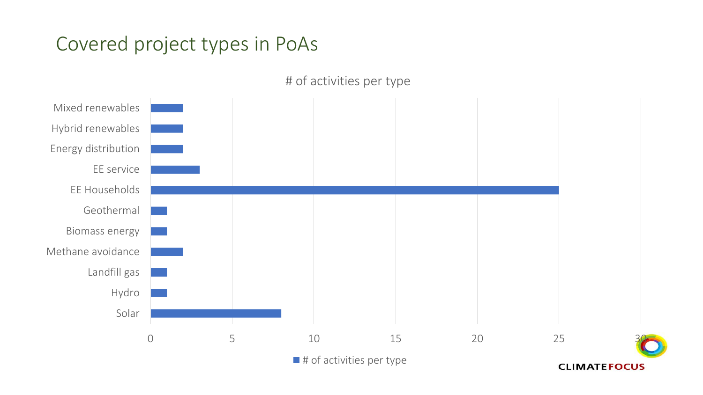#### Covered project types in PoAs



# of activities per type

 $\blacksquare$  # of activities per type

**CLIMATEFOCUS**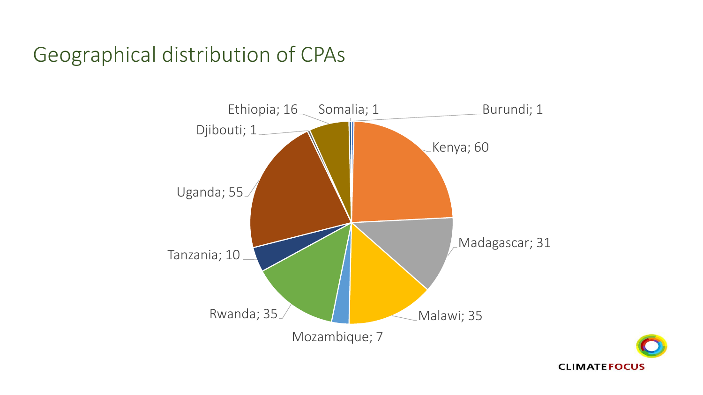### Geographical distribution of CPAs



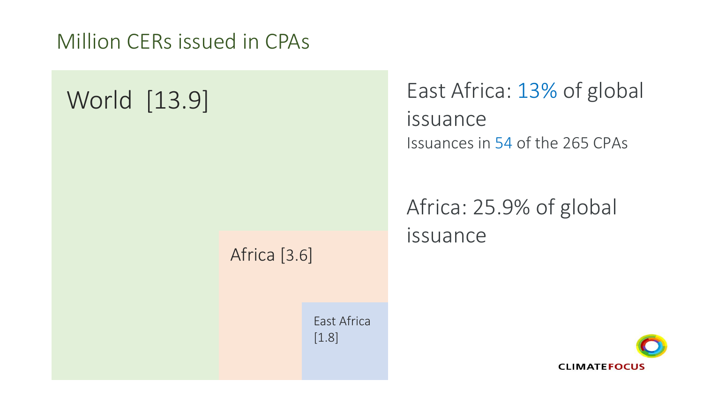Million CERs issued in CPAs

# World [13.9]

East Africa: 13% of global issuance Issuances in 54 of the 265 CPAs

Africa: 25.9% of global issuance

#### Africa [3.6]

East Africa [1.8]

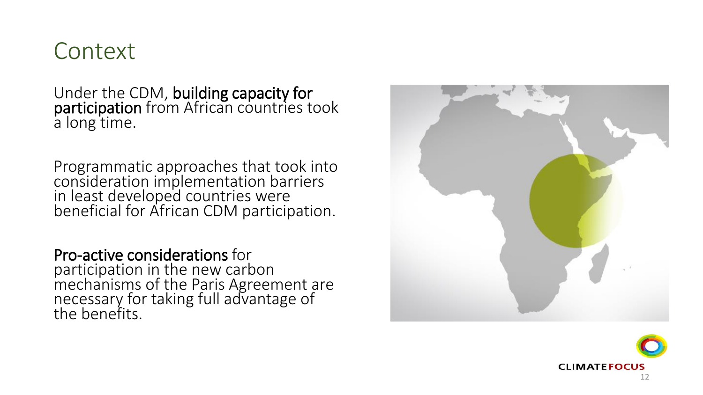# **Context**

Under the CDM, building capacity for participation from African countries took a long time.

Programmatic approaches that took into consideration implementation barriers in least developed countries were beneficial for African CDM participation.

Pro -active considerations for participation in the new carbon mechanisms of the Paris Agreement are necessary for taking full advantage of the benefits.